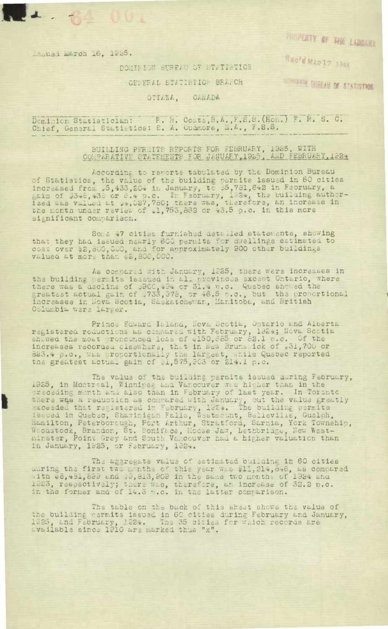.S.us. march 16, 1925.

1.1. 64 001

**PHOPERTY OF THE LIBRARY** 

Rec'd MARIZ TANK

DOMINION BUREAU OF STATISTICS

GELERAL STATISTICS BRAICH

**SERVICE SHOPAH OF STATISTICS** 

OTTAWA, CANADA

Dominion Statistician: F. H. Coats, B.A., F.S.S. (Hon.) F. R. S. C. Chief, General Statistics: S. A. Cudmore, M.A., F.S.S.

BUILDING PERLITS REPORTS FOR FEBRUARY, 1925, WITH COLPARATIVE STATEMENTS FOR JANUARY, 1925, AND FEBRUARY, 192+

According to reports tabulated by the Dominion Bureau of Statistics, the value of the building permits issued in 60 cities<br>increased from  $\sqrt{5}$ , 433, 20+ in January, to  $\approx$ 5, 731, 642 in February, a<br>gain of  $\sqrt{3}+\epsilon$ ,  $\pm 3\epsilon$  or  $\epsilon$ , 4 p.c. In February, 193+, the buildi significant comparison.

Some 47 cities furnished detailed statements, showing that they had issued nearly 600 permits for dwellings estimated to cost over  $#2,800,000$ , and for approximately 900 other buildings valued at more than  $#2,800,000$ .

As compared with January, 1925, there were increases in<br>the building permits isssued in all provinces sxcept Ontario, where<br>there was a decline of  $90C, 434$  or 31.4 p.c. Quebec showed the<br>greatest actual gain of  $733, 378$ 

Prince Faward Island, Nova Scotia, Ontario and Alberta<br>registered reductions as compared with February, 1924; Nova Scotia<br>showed the most pronounced loss of 4150,685 or 82.1 p.c. Of the<br>increases recorded elsewhere, that i

The value of the building permits issued during February, 1925, in Montreal, Winnipeg and Vancouver was higher than in the preceding month and also than in February of last year. In Toronto receding morth and also than in February of last year. In forthto<br>there was a reduction as connered with January, out the value greatly<br>acesded that registered in February, 1924. The building permits<br>issued in Quebec, Shaw in January, 1925, or February, 1924.

The aggregate value of estimated building in 60 cities<br>auring the first two menths of this year was \$11,214,846, as compared<br>with  $\#3,431,899$  and  $\#3,813,909$  in the same two months of 1924 and<br>1923, respectively; there

The table on the back of this shest shows the value of<br>the building permits issued in 60 cities during February and January,<br>1925, and February, 1924. The 35 cities for which records are<br>available since 1910 are marked thu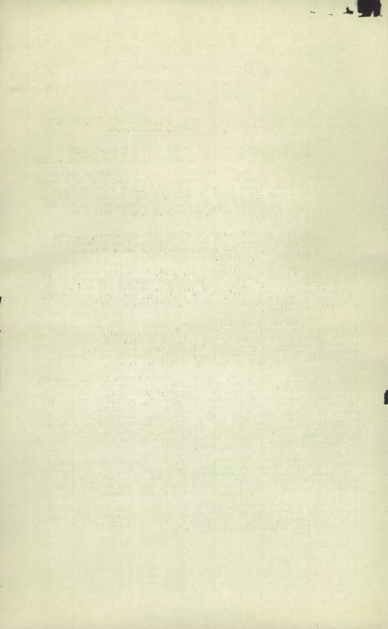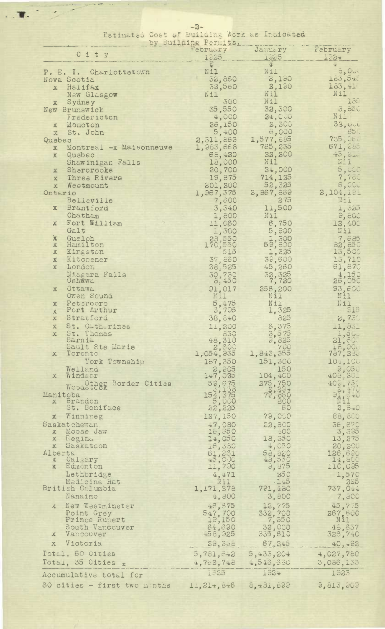| Estimated Cost of Building Work as Indicated<br>by Building Permits. |                                                        |                                                     |                                     |
|----------------------------------------------------------------------|--------------------------------------------------------|-----------------------------------------------------|-------------------------------------|
| C1t y                                                                | February<br>1325                                       | January<br>1325                                     | February<br>$122 +$                 |
|                                                                      | Nil                                                    | 갗<br>Nil                                            | $\tilde{\theta}$ , $\tilde{\theta}$ |
| P. E. I. Charlottetown<br>Nova Scotia                                | 32,860                                                 | 2,150                                               | 133,54                              |
| x Halifax                                                            | 32,560                                                 | 2,130                                               | 133, 41                             |
| New Glasgow                                                          | N11                                                    | MIL                                                 | Nil                                 |
| Sydney<br>$\mathbf{x}$                                               | 300                                                    | N11                                                 | 155                                 |
| New Brunswick                                                        | 35,550                                                 | 32,300                                              | 3,550                               |
| Fredericton                                                          | 4,000<br>26,150                                        | $3 + 0.0$<br>2,300                                  | Nii<br>33,001                       |
| Moncton<br>$\mathbf{x}$<br>St. John<br>$\mathbf{x}$                  | 5,400                                                  | $\ddot{\circ}$ , CCO                                | $\overline{65}$                     |
| Quebec                                                               | 2,511,863                                              | 1,577,885                                           | 735,26                              |
| Montreal -x Maisonneuve<br>$\mathbf{x}$                              | 1,983,668                                              | 765, 235                                            | 671, 38.                            |
| Quebec<br>$\mathbf{x}$                                               | $63, -20$                                              | 22,200                                              | 45, 24                              |
| Shawinigan Falls                                                     | 13,000                                                 | Nil                                                 | Nil                                 |
| Sherbrooke<br>$\mathbf{x}$<br>Three Rivers<br>$\mathbf{x}$           | 20,700<br>19,875                                       | 34,000<br>714, 125                                  | $5,$ UL<br>7,76.                    |
| Westmount<br>$\mathbf{x}$                                            | 201,200                                                | 52,325                                              | 3,00,                               |
| Ontario                                                              | 1,967,375                                              | 2,367,369                                           | 2,104,16                            |
| Belleville                                                           | 7,800                                                  | 275                                                 | NE1                                 |
| x Brantford                                                          | 3,340                                                  | 11,500                                              | 1, 52.                              |
| Chatham                                                              | 1,800                                                  | Wil                                                 | $\Theta$ , cūi                      |
| Fort William<br>$\mathbf{x}$<br>Galt                                 | 11,060<br>1,300                                        | 6,750<br>5,900                                      | 13,400<br>N11                       |
| $\mathbf{x}$                                                         |                                                        |                                                     | 7,685                               |
| Guelph<br>Hamilton<br>X                                              | 133,550                                                | 53,300                                              | 82, 85                              |
| Kingston<br>$\mathbf{x}$                                             | 515                                                    | 1,325                                               | 13,50                               |
| Kitchener<br>$\mathbf{x}$                                            | 37,880                                                 | 39,600                                              | 13,719                              |
| London<br>$\mathbf{x}$<br>Niagara Falls                              | 38,525<br>30,730                                       | 45,260<br>32, 325                                   | 61, 670                             |
| Oshawa                                                               | d, 450                                                 | 7,720                                               | $2^{\frac{4}{6}}$ , $\frac{15}{05}$ |
| Ottawa<br>$\mathbf{x}$                                               | 91,017                                                 | 256,200                                             | 93,60                               |
| Owen Sound                                                           | Ni1                                                    | Nil                                                 | Nil                                 |
| Peterooro<br>$\mathbf{x}$<br>Port Arthur                             | $\frac{5}{3}, \frac{475}{735}$                         | Nil<br>1,325                                        | Nil<br>515                          |
| $\mathbf{x}$<br>Stratford<br>$\mathbf{x}$                            | $38, 8+0$                                              | 825                                                 | 2,730                               |
| St. Cath-rines<br>$\mathbf{x}$                                       | 11,200                                                 | 6,375                                               | 11,83.                              |
| St. Thomas<br>$\mathbf{x}$                                           | $-330$                                                 | $\frac{3}{9}$ , $\frac{5}{8}$ , $\frac{75}{8}$      |                                     |
| Sarnia                                                               | 48,310                                                 |                                                     | 21,50                               |
| Sault Ste Marie<br>Terente<br>$\mathbf{x}$                           | 2,600<br>1,054,935                                     | 700<br>1,843,355                                    | $7\overline{3}7, 23.$               |
| Tork Township                                                        | 167,350                                                | 151,300                                             | $10$ $\pm$ , $100$                  |
| Welland                                                              | 2,905                                                  | 150                                                 | 9,050                               |
| Windsor<br>$\mathbf{x}$                                              | 147,035                                                | 104,400                                             | 408, 30.                            |
| Woodsteer Border Cities                                              | 59,675                                                 | $275,750$<br>$75,250$<br>$75,350$<br>$300$<br>$300$ | $40\frac{1}{2}, \frac{750}{700}$    |
| Manitoba                                                             |                                                        |                                                     |                                     |
| x Brandon<br>St. Boniface                                            | $15\frac{3}{2},\frac{13}{3}$ 75<br>$5,000$<br>$22,235$ | -60                                                 | $2, 3 - 0$                          |
| x Winnipeg                                                           | 127,150                                                | 79,000                                              | 88,800                              |
| Saskatchewan                                                         | $-7,080$                                               | 22,300                                              | 38,870                              |
| x Moose Jaw                                                          | 16,350                                                 | $-CC$                                               | 3, 335                              |
| x Regina                                                             | 14,050                                                 | 18,550                                              | 13,275                              |
| Saskatcon<br>$\mathbf{x}$<br>Alberta                                 | 16,380                                                 | $\pm,050$                                           | 30,300                              |
| x Calgary                                                            | 61,261                                                 | 58,820<br>43,550                                    | 126,600                             |
| Edmonton<br>$\mathbf{x}$                                             | $\frac{15,000}{11,730}$                                | 3,375                                               | 110,095                             |
| Lethbridge                                                           | 4,471                                                  | 250                                                 | 1,570                               |
| Medicine hat<br>British Columbia                                     | Nil<br>1,171,378                                       | $-145$                                              | 325<br>737,0+4                      |
| Nanaimo                                                              | $\pm,800$                                              | 731,480<br>3,800                                    | 7,800                               |
| New Westminster<br>$\mathbf{x}$                                      | 46,675                                                 |                                                     | 45,775                              |
| Point Grey                                                           | 547,700                                                |                                                     | 267,600                             |
| Prince Rupert                                                        | 13,150                                                 | 12, 775<br>332, 700<br>7, 350                       | Nil                                 |
| South Vancouver                                                      | 64,690                                                 | 32,000                                              | 45,657                              |
| Vancouver<br>$\mathbf{x}$                                            | $-58,925$                                              | 335,610                                             | 323,740                             |
| Victoria<br>$\mathbf{x}$                                             | 29,305                                                 | 67,245                                              | 40. - 22                            |
| Total, 60 Oities                                                     | $5,781,6-2$                                            | 5,433,204                                           | 4,027,780                           |
| Total, 35 Cities x                                                   | 4,762,748                                              | $\pm$ , 546, 660                                    | 3,086,133                           |
| Accumulative total for                                               | 1935                                                   | 1924                                                | 1923                                |
|                                                                      |                                                        |                                                     |                                     |

60 cities - first two minths 11,21+,846 8,431,899 9,813,909